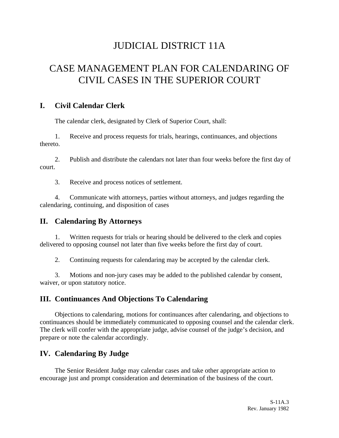# JUDICIAL DISTRICT 11A

# CASE MANAGEMENT PLAN FOR CALENDARING OF CIVIL CASES IN THE SUPERIOR COURT

#### **I. Civil Calendar Clerk**

The calendar clerk, designated by Clerk of Superior Court, shall:

1. Receive and process requests for trials, hearings, continuances, and objections thereto.

2. Publish and distribute the calendars not later than four weeks before the first day of court.

3. Receive and process notices of settlement.

4. Communicate with attorneys, parties without attorneys, and judges regarding the calendaring, continuing, and disposition of cases

### **II. Calendaring By Attorneys**

1. Written requests for trials or hearing should be delivered to the clerk and copies delivered to opposing counsel not later than five weeks before the first day of court.

2. Continuing requests for calendaring may be accepted by the calendar clerk.

3. Motions and non-jury cases may be added to the published calendar by consent, waiver, or upon statutory notice.

### **III. Continuances And Objections To Calendaring**

Objections to calendaring, motions for continuances after calendaring, and objections to continuances should be immediately communicated to opposing counsel and the calendar clerk. The clerk will confer with the appropriate judge, advise counsel of the judge's decision, and prepare or note the calendar accordingly.

### **IV. Calendaring By Judge**

The Senior Resident Judge may calendar cases and take other appropriate action to encourage just and prompt consideration and determination of the business of the court.